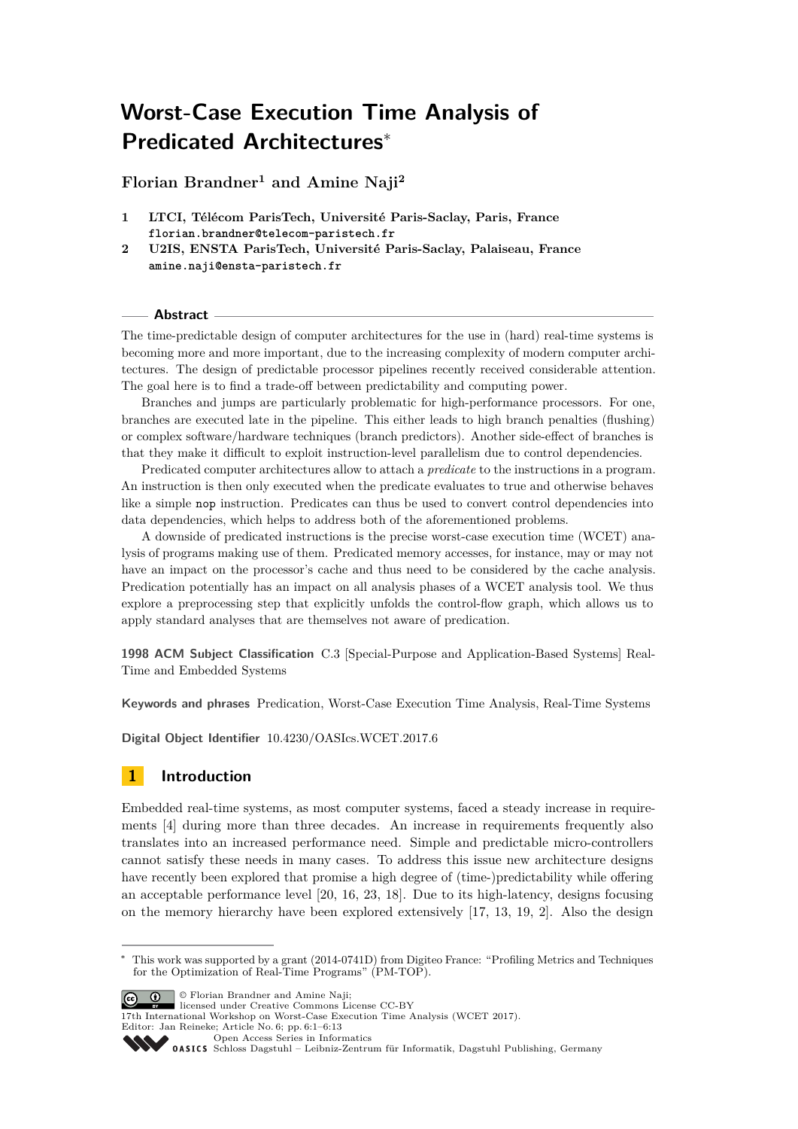# **Worst-Case Execution Time Analysis of Predicated Architectures**<sup>∗</sup>

**Florian Brandner<sup>1</sup> and Amine Naji<sup>2</sup>**

- **1 LTCI, Télécom ParisTech, Université Paris-Saclay, Paris, France florian.brandner@telecom-paristech.fr**
- **2 U2IS, ENSTA ParisTech, Université Paris-Saclay, Palaiseau, France amine.naji@ensta-paristech.fr**

### **Abstract**

The time-predictable design of computer architectures for the use in (hard) real-time systems is becoming more and more important, due to the increasing complexity of modern computer architectures. The design of predictable processor pipelines recently received considerable attention. The goal here is to find a trade-off between predictability and computing power.

Branches and jumps are particularly problematic for high-performance processors. For one, branches are executed late in the pipeline. This either leads to high branch penalties (flushing) or complex software/hardware techniques (branch predictors). Another side-effect of branches is that they make it difficult to exploit instruction-level parallelism due to control dependencies.

Predicated computer architectures allow to attach a *predicate* to the instructions in a program. An instruction is then only executed when the predicate evaluates to true and otherwise behaves like a simple nop instruction. Predicates can thus be used to convert control dependencies into data dependencies, which helps to address both of the aforementioned problems.

A downside of predicated instructions is the precise worst-case execution time (WCET) analysis of programs making use of them. Predicated memory accesses, for instance, may or may not have an impact on the processor's cache and thus need to be considered by the cache analysis. Predication potentially has an impact on all analysis phases of a WCET analysis tool. We thus explore a preprocessing step that explicitly unfolds the control-flow graph, which allows us to apply standard analyses that are themselves not aware of predication.

**1998 ACM Subject Classification** C.3 [Special-Purpose and Application-Based Systems] Real-Time and Embedded Systems

**Keywords and phrases** Predication, Worst-Case Execution Time Analysis, Real-Time Systems

**Digital Object Identifier** [10.4230/OASIcs.WCET.2017.6](http://dx.doi.org/10.4230/OASIcs.WCET.2017.6)

# **1 Introduction**

Embedded real-time systems, as most computer systems, faced a steady increase in requirements [\[4\]](#page-10-0) during more than three decades. An increase in requirements frequently also translates into an increased performance need. Simple and predictable micro-controllers cannot satisfy these needs in many cases. To address this issue new architecture designs have recently been explored that promise a high degree of (time-)predictability while offering an acceptable performance level [\[20,](#page-11-0) [16,](#page-11-1) [23,](#page-12-0) [18\]](#page-11-2). Due to its high-latency, designs focusing on the memory hierarchy have been explored extensively [\[17,](#page-11-3) [13,](#page-11-4) [19,](#page-11-5) [2\]](#page-10-1). Also the design

**C D C** Florian Brandner and Amine Naii:

17th International Workshop on Worst-Case Execution Time Analysis (WCET 2017).

Editor: Jan Reineke; Article No. 6; pp. 6:1–6[:13](#page-12-1)

[Open Access Series in Informatics](http://www.dagstuhl.de/oasics/)

<sup>∗</sup> This work was supported by a grant (2014-0741D) from Digiteo France: "Profiling Metrics and Techniques for the Optimization of Real-Time Programs" (PM-TOP).

licensed under Creative Commons License CC-BY

[Schloss Dagstuhl – Leibniz-Zentrum für Informatik, Dagstuhl Publishing, Germany](http://www.dagstuhl.de)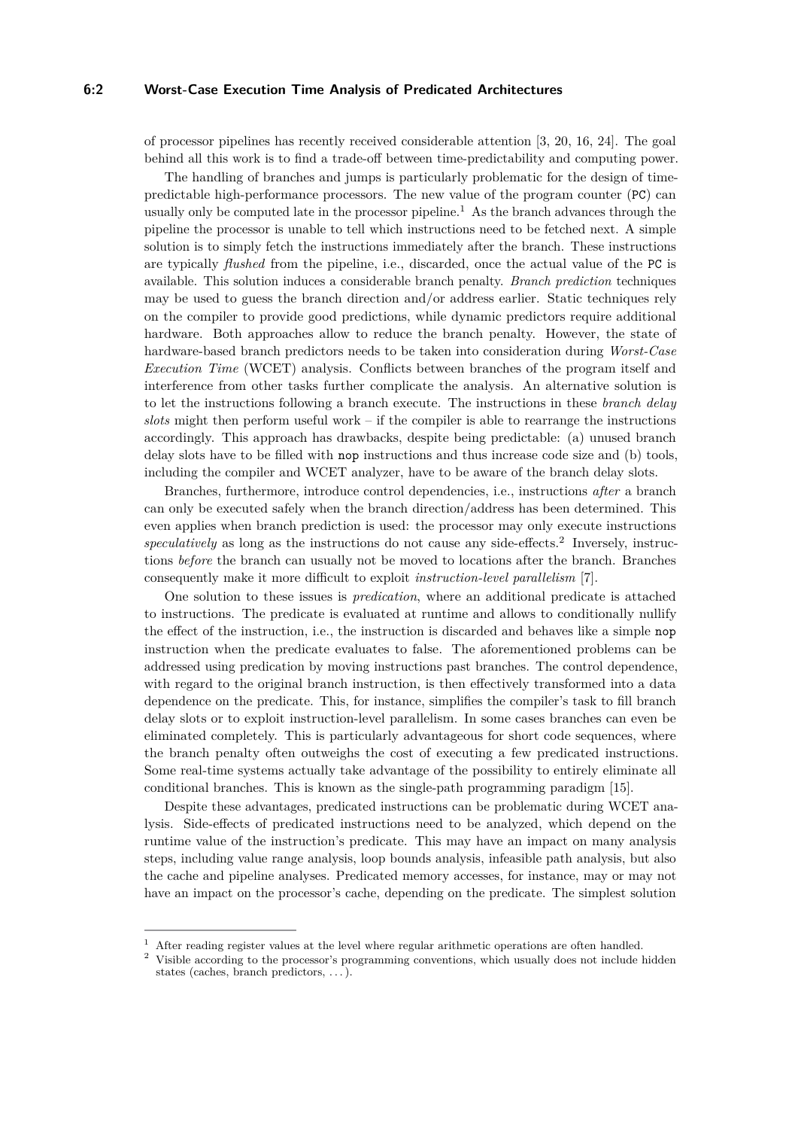## **6:2 Worst-Case Execution Time Analysis of Predicated Architectures**

of processor pipelines has recently received considerable attention [\[3,](#page-10-2) [20,](#page-11-0) [16,](#page-11-1) [24\]](#page-12-2). The goal behind all this work is to find a trade-off between time-predictability and computing power.

The handling of branches and jumps is particularly problematic for the design of timepredictable high-performance processors. The new value of the program counter (PC) can usually only be computed late in the processor pipeline.<sup>[1](#page-1-0)</sup> As the branch advances through the pipeline the processor is unable to tell which instructions need to be fetched next. A simple solution is to simply fetch the instructions immediately after the branch. These instructions are typically *flushed* from the pipeline, i.e., discarded, once the actual value of the PC is available. This solution induces a considerable branch penalty. *Branch prediction* techniques may be used to guess the branch direction and/or address earlier. Static techniques rely on the compiler to provide good predictions, while dynamic predictors require additional hardware. Both approaches allow to reduce the branch penalty. However, the state of hardware-based branch predictors needs to be taken into consideration during *Worst-Case Execution Time* (WCET) analysis. Conflicts between branches of the program itself and interference from other tasks further complicate the analysis. An alternative solution is to let the instructions following a branch execute. The instructions in these *branch delay slots* might then perform useful work – if the compiler is able to rearrange the instructions accordingly. This approach has drawbacks, despite being predictable: (a) unused branch delay slots have to be filled with nop instructions and thus increase code size and (b) tools, including the compiler and WCET analyzer, have to be aware of the branch delay slots.

Branches, furthermore, introduce control dependencies, i.e., instructions *after* a branch can only be executed safely when the branch direction/address has been determined. This even applies when branch prediction is used: the processor may only execute instructions speculatively as long as the instructions do not cause any side-effects.<sup>[2](#page-1-1)</sup> Inversely, instructions *before* the branch can usually not be moved to locations after the branch. Branches consequently make it more difficult to exploit *instruction-level parallelism* [\[7\]](#page-11-6).

One solution to these issues is *predication*, where an additional predicate is attached to instructions. The predicate is evaluated at runtime and allows to conditionally nullify the effect of the instruction, i.e., the instruction is discarded and behaves like a simple nop instruction when the predicate evaluates to false. The aforementioned problems can be addressed using predication by moving instructions past branches. The control dependence, with regard to the original branch instruction, is then effectively transformed into a data dependence on the predicate. This, for instance, simplifies the compiler's task to fill branch delay slots or to exploit instruction-level parallelism. In some cases branches can even be eliminated completely. This is particularly advantageous for short code sequences, where the branch penalty often outweighs the cost of executing a few predicated instructions. Some real-time systems actually take advantage of the possibility to entirely eliminate all conditional branches. This is known as the single-path programming paradigm [\[15\]](#page-11-7).

Despite these advantages, predicated instructions can be problematic during WCET analysis. Side-effects of predicated instructions need to be analyzed, which depend on the runtime value of the instruction's predicate. This may have an impact on many analysis steps, including value range analysis, loop bounds analysis, infeasible path analysis, but also the cache and pipeline analyses. Predicated memory accesses, for instance, may or may not have an impact on the processor's cache, depending on the predicate. The simplest solution

<span id="page-1-0"></span><sup>&</sup>lt;sup>1</sup> After reading register values at the level where regular arithmetic operations are often handled.

<span id="page-1-1"></span><sup>2</sup> Visible according to the processor's programming conventions, which usually does not include hidden states (caches, branch predictors, . . . ).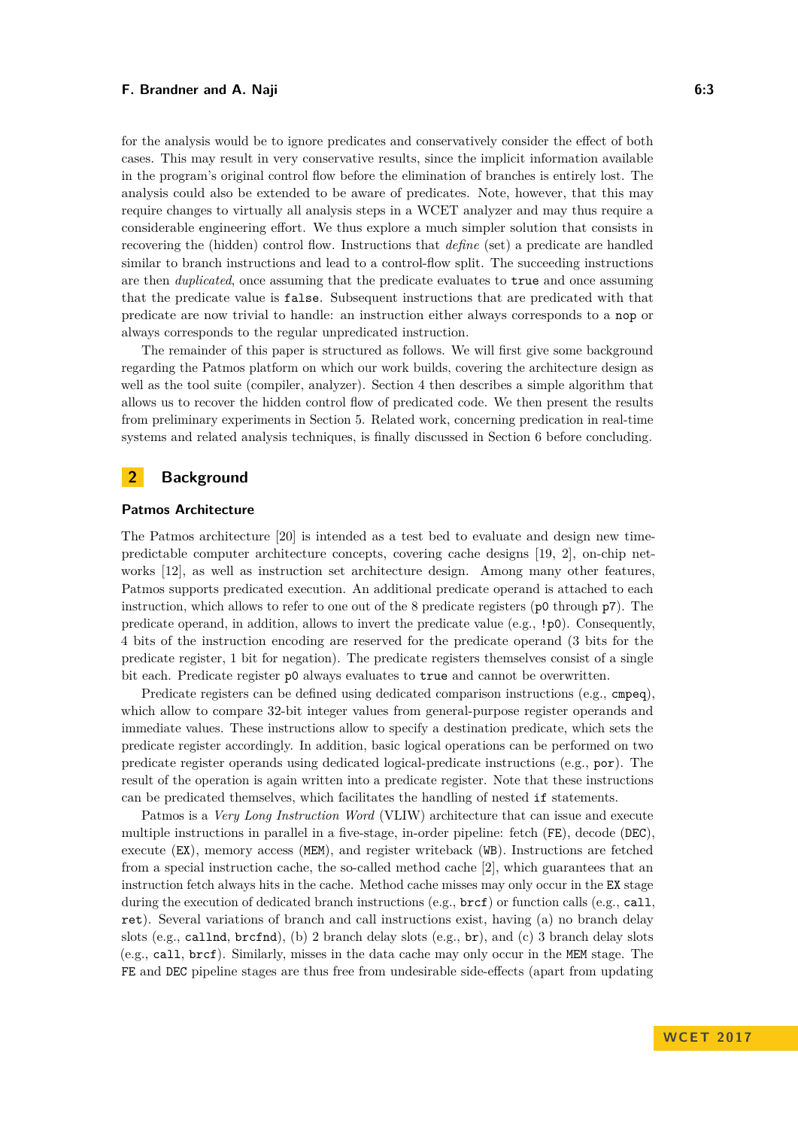### **F. Brandner and A. Naji 6:3**

for the analysis would be to ignore predicates and conservatively consider the effect of both cases. This may result in very conservative results, since the implicit information available in the program's original control flow before the elimination of branches is entirely lost. The analysis could also be extended to be aware of predicates. Note, however, that this may require changes to virtually all analysis steps in a WCET analyzer and may thus require a considerable engineering effort. We thus explore a much simpler solution that consists in recovering the (hidden) control flow. Instructions that *define* (set) a predicate are handled similar to branch instructions and lead to a control-flow split. The succeeding instructions are then *duplicated*, once assuming that the predicate evaluates to true and once assuming that the predicate value is false. Subsequent instructions that are predicated with that predicate are now trivial to handle: an instruction either always corresponds to a nop or always corresponds to the regular unpredicated instruction.

The remainder of this paper is structured as follows. We will first give some background regarding the Patmos platform on which our work builds, covering the architecture design as well as the tool suite (compiler, analyzer). Section [4](#page-5-0) then describes a simple algorithm that allows us to recover the hidden control flow of predicated code. We then present the results from preliminary experiments in Section [5.](#page-8-0) Related work, concerning predication in real-time systems and related analysis techniques, is finally discussed in Section [6](#page-9-0) before concluding.

# **2 Background**

### **Patmos Architecture**

The Patmos architecture [\[20\]](#page-11-0) is intended as a test bed to evaluate and design new timepredictable computer architecture concepts, covering cache designs [\[19,](#page-11-5) [2\]](#page-10-1), on-chip networks [\[12\]](#page-11-8), as well as instruction set architecture design. Among many other features, Patmos supports predicated execution. An additional predicate operand is attached to each instruction, which allows to refer to one out of the 8 predicate registers ( $p0$  through  $p7$ ). The predicate operand, in addition, allows to invert the predicate value (e.g., !p0). Consequently, 4 bits of the instruction encoding are reserved for the predicate operand (3 bits for the predicate register, 1 bit for negation). The predicate registers themselves consist of a single bit each. Predicate register p0 always evaluates to true and cannot be overwritten.

Predicate registers can be defined using dedicated comparison instructions (e.g., cmpeq), which allow to compare 32-bit integer values from general-purpose register operands and immediate values. These instructions allow to specify a destination predicate, which sets the predicate register accordingly. In addition, basic logical operations can be performed on two predicate register operands using dedicated logical-predicate instructions (e.g., por). The result of the operation is again written into a predicate register. Note that these instructions can be predicated themselves, which facilitates the handling of nested if statements.

Patmos is a *Very Long Instruction Word* (VLIW) architecture that can issue and execute multiple instructions in parallel in a five-stage, in-order pipeline: fetch (FE), decode (DEC), execute (EX), memory access (MEM), and register writeback (WB). Instructions are fetched from a special instruction cache, the so-called method cache [\[2\]](#page-10-1), which guarantees that an instruction fetch always hits in the cache. Method cache misses may only occur in the EX stage during the execution of dedicated branch instructions (e.g.,  $brcf$ ) or function calls (e.g., call, ret). Several variations of branch and call instructions exist, having (a) no branch delay slots (e.g., callnd, brcfnd), (b) 2 branch delay slots (e.g., br), and (c) 3 branch delay slots (e.g., call, brcf). Similarly, misses in the data cache may only occur in the MEM stage. The FE and DEC pipeline stages are thus free from undesirable side-effects (apart from updating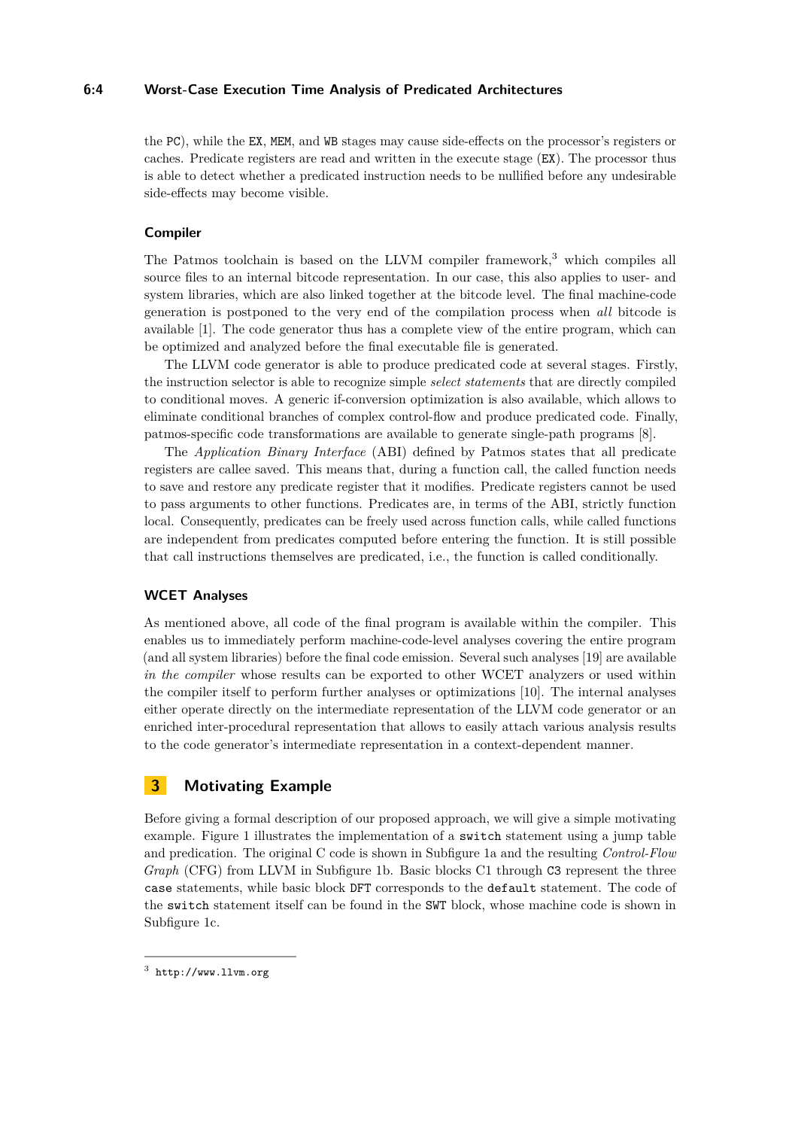### **6:4 Worst-Case Execution Time Analysis of Predicated Architectures**

the PC), while the EX, MEM, and WB stages may cause side-effects on the processor's registers or caches. Predicate registers are read and written in the execute stage (EX). The processor thus is able to detect whether a predicated instruction needs to be nullified before any undesirable side-effects may become visible.

### **Compiler**

The Patmos toolchain is based on the LLVM compiler framework, $3$  which compiles all source files to an internal bitcode representation. In our case, this also applies to user- and system libraries, which are also linked together at the bitcode level. The final machine-code generation is postponed to the very end of the compilation process when *all* bitcode is available [\[1\]](#page-10-3). The code generator thus has a complete view of the entire program, which can be optimized and analyzed before the final executable file is generated.

The LLVM code generator is able to produce predicated code at several stages. Firstly, the instruction selector is able to recognize simple *select statements* that are directly compiled to conditional moves. A generic if-conversion optimization is also available, which allows to eliminate conditional branches of complex control-flow and produce predicated code. Finally, patmos-specific code transformations are available to generate single-path programs [\[8\]](#page-11-9).

The *Application Binary Interface* (ABI) defined by Patmos states that all predicate registers are callee saved. This means that, during a function call, the called function needs to save and restore any predicate register that it modifies. Predicate registers cannot be used to pass arguments to other functions. Predicates are, in terms of the ABI, strictly function local. Consequently, predicates can be freely used across function calls, while called functions are independent from predicates computed before entering the function. It is still possible that call instructions themselves are predicated, i.e., the function is called conditionally.

### **WCET Analyses**

As mentioned above, all code of the final program is available within the compiler. This enables us to immediately perform machine-code-level analyses covering the entire program (and all system libraries) before the final code emission. Several such analyses [\[19\]](#page-11-5) are available *in the compiler* whose results can be exported to other WCET analyzers or used within the compiler itself to perform further analyses or optimizations [\[10\]](#page-11-10). The internal analyses either operate directly on the intermediate representation of the LLVM code generator or an enriched inter-procedural representation that allows to easily attach various analysis results to the code generator's intermediate representation in a context-dependent manner.

# <span id="page-3-1"></span>**3 Motivating Example**

Before giving a formal description of our proposed approach, we will give a simple motivating example. Figure [1](#page-4-0) illustrates the implementation of a switch statement using a jump table and predication. The original C code is shown in Subfigure [1a](#page-4-0) and the resulting *Control-Flow Graph* (CFG) from LLVM in Subfigure [1b.](#page-4-0) Basic blocks C1 through C3 represent the three case statements, while basic block DFT corresponds to the default statement. The code of the switch statement itself can be found in the SWT block, whose machine code is shown in Subfigure [1c.](#page-4-0)

<span id="page-3-0"></span> $^3$  <http://www.llvm.org>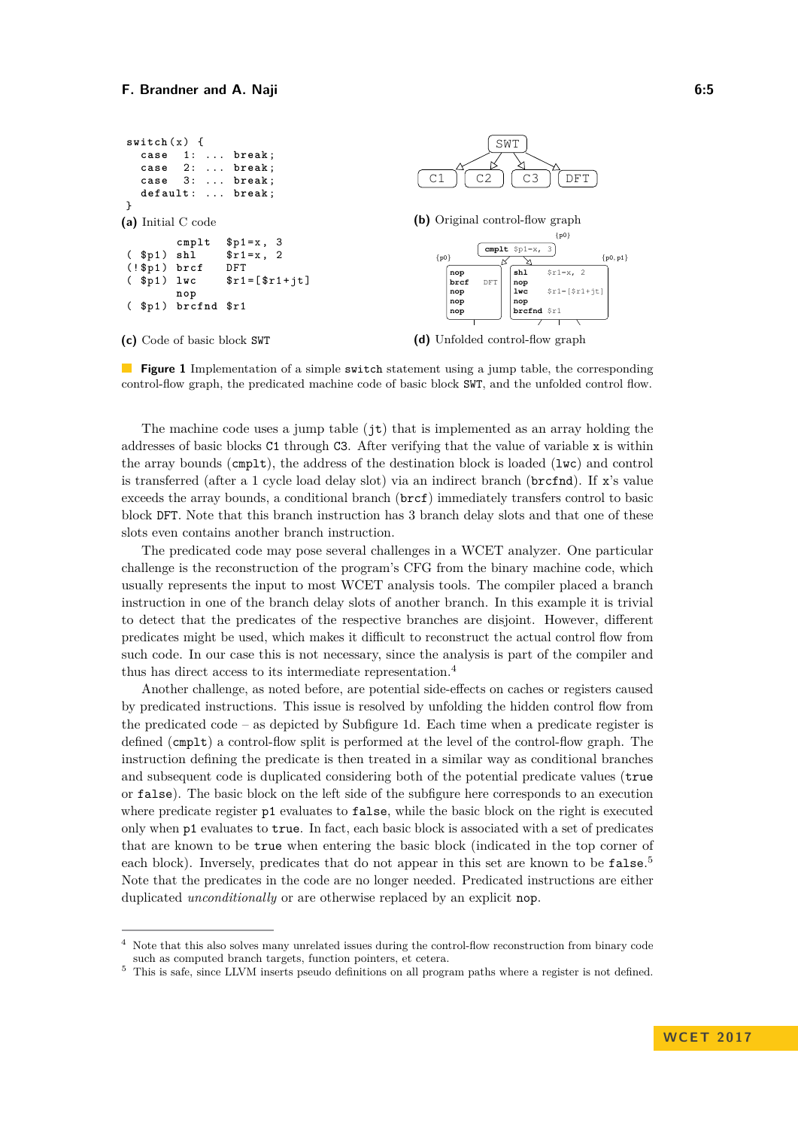<span id="page-4-0"></span>

**Figure 1** Implementation of a simple **switch** statement using a jump table, the corresponding control-flow graph, the predicated machine code of basic block SWT, and the unfolded control flow.

The machine code uses a jump table (jt) that is implemented as an array holding the addresses of basic blocks C1 through C3. After verifying that the value of variable x is within the array bounds (cmplt), the address of the destination block is loaded (lwc) and control is transferred (after a 1 cycle load delay slot) via an indirect branch (brcfnd). If x's value exceeds the array bounds, a conditional branch (brcf) immediately transfers control to basic block DFT. Note that this branch instruction has 3 branch delay slots and that one of these slots even contains another branch instruction.

The predicated code may pose several challenges in a WCET analyzer. One particular challenge is the reconstruction of the program's CFG from the binary machine code, which usually represents the input to most WCET analysis tools. The compiler placed a branch instruction in one of the branch delay slots of another branch. In this example it is trivial to detect that the predicates of the respective branches are disjoint. However, different predicates might be used, which makes it difficult to reconstruct the actual control flow from such code. In our case this is not necessary, since the analysis is part of the compiler and thus has direct access to its intermediate representation.[4](#page-4-1)

Another challenge, as noted before, are potential side-effects on caches or registers caused by predicated instructions. This issue is resolved by unfolding the hidden control flow from the predicated code – as depicted by Subfigure [1d.](#page-4-0) Each time when a predicate register is defined (cmplt) a control-flow split is performed at the level of the control-flow graph. The instruction defining the predicate is then treated in a similar way as conditional branches and subsequent code is duplicated considering both of the potential predicate values (true or false). The basic block on the left side of the subfigure here corresponds to an execution where predicate register  $p1$  evaluates to false, while the basic block on the right is executed only when p1 evaluates to true. In fact, each basic block is associated with a set of predicates that are known to be true when entering the basic block (indicated in the top corner of each block). Inversely, predicates that do not appear in this set are known to be  $\texttt{false}.^5$  $\texttt{false}.^5$ Note that the predicates in the code are no longer needed. Predicated instructions are either duplicated *unconditionally* or are otherwise replaced by an explicit nop.

<span id="page-4-1"></span>Note that this also solves many unrelated issues during the control-flow reconstruction from binary code such as computed branch targets, function pointers, et cetera.

<span id="page-4-2"></span><sup>5</sup> This is safe, since LLVM inserts pseudo definitions on all program paths where a register is not defined.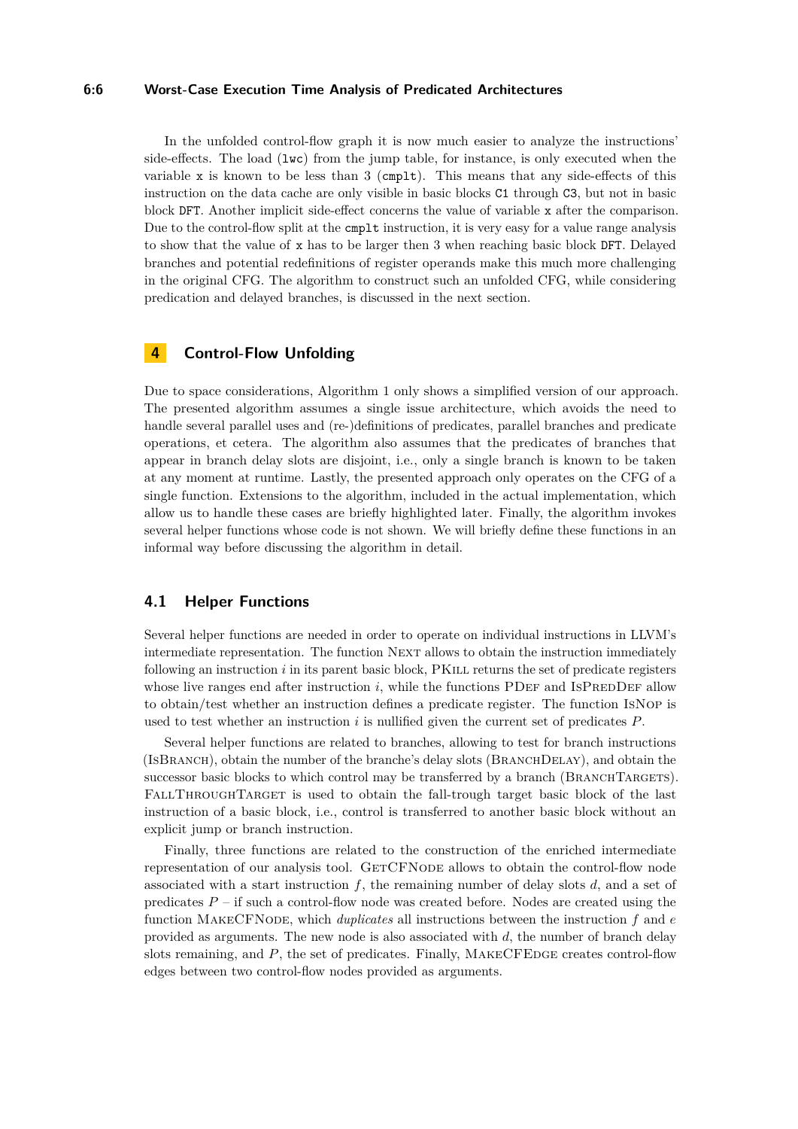#### **6:6 Worst-Case Execution Time Analysis of Predicated Architectures**

In the unfolded control-flow graph it is now much easier to analyze the instructions' side-effects. The load  $(1wc)$  from the jump table, for instance, is only executed when the variable x is known to be less than  $3$  (cmplt). This means that any side-effects of this instruction on the data cache are only visible in basic blocks C1 through C3, but not in basic block DFT. Another implicit side-effect concerns the value of variable x after the comparison. Due to the control-flow split at the cmplt instruction, it is very easy for a value range analysis to show that the value of x has to be larger then 3 when reaching basic block DFT. Delayed branches and potential redefinitions of register operands make this much more challenging in the original CFG. The algorithm to construct such an unfolded CFG, while considering predication and delayed branches, is discussed in the next section.

# <span id="page-5-0"></span>**4 Control-Flow Unfolding**

Due to space considerations, Algorithm [1](#page-6-0) only shows a simplified version of our approach. The presented algorithm assumes a single issue architecture, which avoids the need to handle several parallel uses and (re-)definitions of predicates, parallel branches and predicate operations, et cetera. The algorithm also assumes that the predicates of branches that appear in branch delay slots are disjoint, i.e., only a single branch is known to be taken at any moment at runtime. Lastly, the presented approach only operates on the CFG of a single function. Extensions to the algorithm, included in the actual implementation, which allow us to handle these cases are briefly highlighted later. Finally, the algorithm invokes several helper functions whose code is not shown. We will briefly define these functions in an informal way before discussing the algorithm in detail.

# <span id="page-5-1"></span>**4.1 Helper Functions**

Several helper functions are needed in order to operate on individual instructions in LLVM's intermediate representation. The function NEXT allows to obtain the instruction immediately following an instruction *i* in its parent basic block, PKILL returns the set of predicate registers whose live ranges end after instruction  $i$ , while the functions PDEF and ISPREDDEF allow to obtain/test whether an instruction defines a predicate register. The function IsNop is used to test whether an instruction *i* is nullified given the current set of predicates *P*.

Several helper functions are related to branches, allowing to test for branch instructions (ISBRANCH), obtain the number of the branche's delay slots (BRANCHDELAY), and obtain the successor basic blocks to which control may be transferred by a branch (BRANCHTARGETS). FallThroughTarget is used to obtain the fall-trough target basic block of the last instruction of a basic block, i.e., control is transferred to another basic block without an explicit jump or branch instruction.

Finally, three functions are related to the construction of the enriched intermediate representation of our analysis tool. GETCFNODE allows to obtain the control-flow node associated with a start instruction *f*, the remaining number of delay slots *d*, and a set of predicates *P* – if such a control-flow node was created before. Nodes are created using the function MakeCFNode, which *duplicates* all instructions between the instruction *f* and *e* provided as arguments. The new node is also associated with *d*, the number of branch delay slots remaining, and P, the set of predicates. Finally, MAKECFEDGE creates control-flow edges between two control-flow nodes provided as arguments.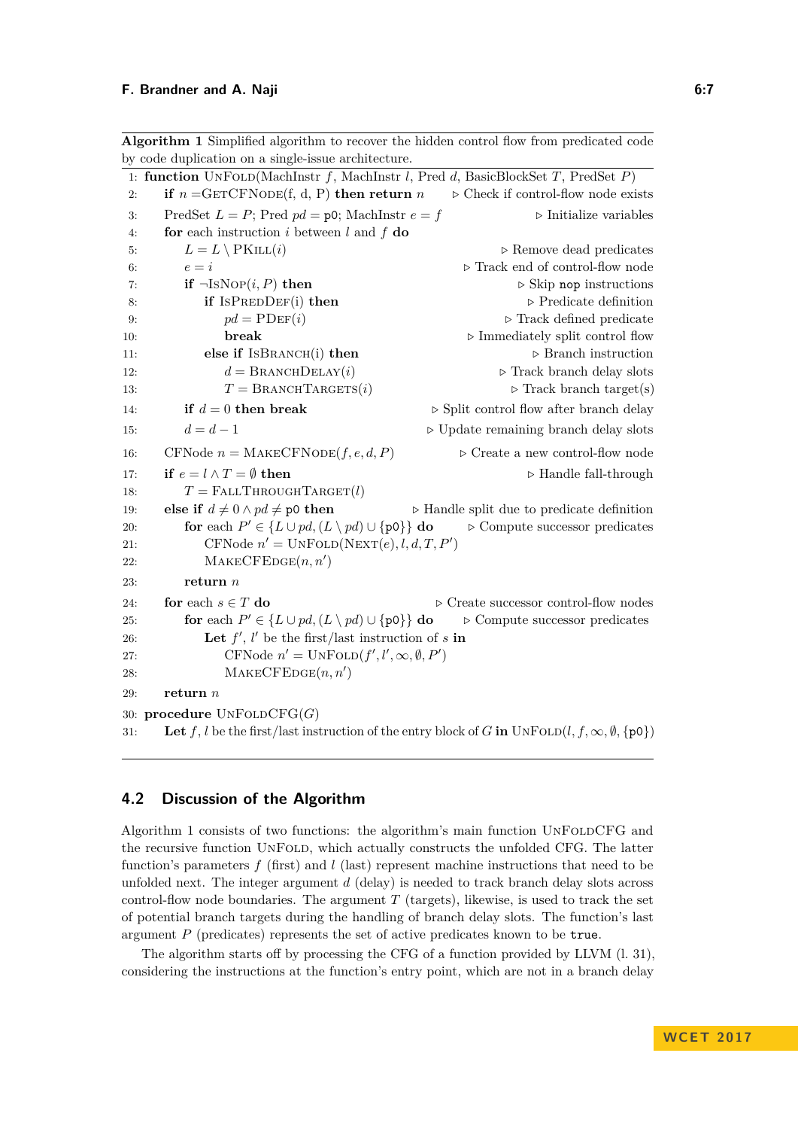<span id="page-6-0"></span>**Algorithm 1** Simplified algorithm to recover the hidden control flow from predicated code by code duplication on a single-issue architecture.

|     | 1: function UNFOLD(MachInstr f, MachInstr l, Pred d, BasicBlockSet T, PredSet $P$ )                                |                                                           |
|-----|--------------------------------------------------------------------------------------------------------------------|-----------------------------------------------------------|
| 2:  | if $n = \text{GETCFNODE}(f, d, P)$ then return n                                                                   | $\triangleright$ Check if control-flow node exists        |
| 3:  | PredSet $L = P$ ; Pred $pd = \text{p0}$ ; MachInstr $e = f$                                                        | $\triangleright$ Initialize variables                     |
| 4:  | for each instruction i between $l$ and $f$ do                                                                      |                                                           |
| 5:  | $L = L \setminus \text{PKILL}(i)$                                                                                  | $\triangleright$ Remove dead predicates                   |
| 6:  | $e = i$                                                                                                            | $\triangleright$ Track end of control-flow node           |
| 7:  | if $\neg \text{ISNOP}(i, P)$ then                                                                                  | $\triangleright$ Skip nop instructions                    |
| 8:  | if $ISPREDDEF(i)$ then                                                                                             | $\triangleright$ Predicate definition                     |
| 9:  | $pd = \text{PDEF}(i)$                                                                                              | $\triangleright$ Track defined predicate                  |
| 10: | break                                                                                                              | $\triangleright$ Immediately split control flow           |
| 11: | else if ISBRANCH(i) then                                                                                           | $\triangleright$ Branch instruction                       |
| 12: | $d = \text{BrawCHDELAY}(i)$                                                                                        | $\triangleright$ Track branch delay slots                 |
| 13: | $T = \text{BRANCHTARGETS}(i)$                                                                                      | $\triangleright$ Track branch target(s)                   |
| 14: | if $d = 0$ then break                                                                                              | $\triangleright$ Split control flow after branch delay    |
| 15: | $d=d-1$                                                                                                            | $\triangleright$ Update remaining branch delay slots      |
| 16: | CFNode $n = \text{MAKECFNODE}(f, e, d, P)$                                                                         | $\triangleright$ Create a new control-flow node           |
| 17: | if $e = l \wedge T = \emptyset$ then                                                                               | $\triangleright$ Handle fall-through                      |
| 18: | $T = \text{FALLTHROUGHTARGE}(l)$                                                                                   |                                                           |
| 19: | else if $d \neq 0 \wedge pd \neq \text{p0}$ then                                                                   | $\triangleright$ Handle split due to predicate definition |
| 20: | for each $P' \in \{L \cup pd, (L \setminus pd) \cup \{p0\}\}\$ do<br>$\triangleright$ Compute successor predicates |                                                           |
| 21: | CFNode $n' = UNFOLD(NEXT(e), l, d, T, P')$                                                                         |                                                           |
| 22: | $\text{MAKECFEDE}(n, n')$                                                                                          |                                                           |
| 23: | return $n$                                                                                                         |                                                           |
| 24: | for each $s \in T$ do                                                                                              | $\triangleright$ Create successor control-flow nodes      |
| 25: | for each $P' \in \{L \cup pd, (L \setminus pd) \cup \{p0\}\}\$ do<br>$\triangleright$ Compute successor predicates |                                                           |
| 26: | Let $f'$ , $l'$ be the first/last instruction of s in                                                              |                                                           |
| 27: | CFNode $n' = \text{UNFOLD}(f', l', \infty, \emptyset, P')$                                                         |                                                           |
| 28: | $\text{MAKECFEDE}(n, n')$                                                                                          |                                                           |
| 29: | return $n$                                                                                                         |                                                           |
|     | 30: procedure $UNFOLDCFG(G)$                                                                                       |                                                           |
| 31: | Let f, l be the first/last instruction of the entry block of G in $\text{UNFOLD}(l, f, \infty, \emptyset, \{p0\})$ |                                                           |

# **4.2 Discussion of the Algorithm**

Algorithm [1](#page-6-0) consists of two functions: the algorithm's main function UnFoldCFG and the recursive function UnFold, which actually constructs the unfolded CFG. The latter function's parameters *f* (first) and *l* (last) represent machine instructions that need to be unfolded next. The integer argument *d* (delay) is needed to track branch delay slots across control-flow node boundaries. The argument  $T$  (targets), likewise, is used to track the set of potential branch targets during the handling of branch delay slots. The function's last argument *P* (predicates) represents the set of active predicates known to be true.

The algorithm starts off by processing the CFG of a function provided by LLVM (l. [31\)](#page-5-1), considering the instructions at the function's entry point, which are not in a branch delay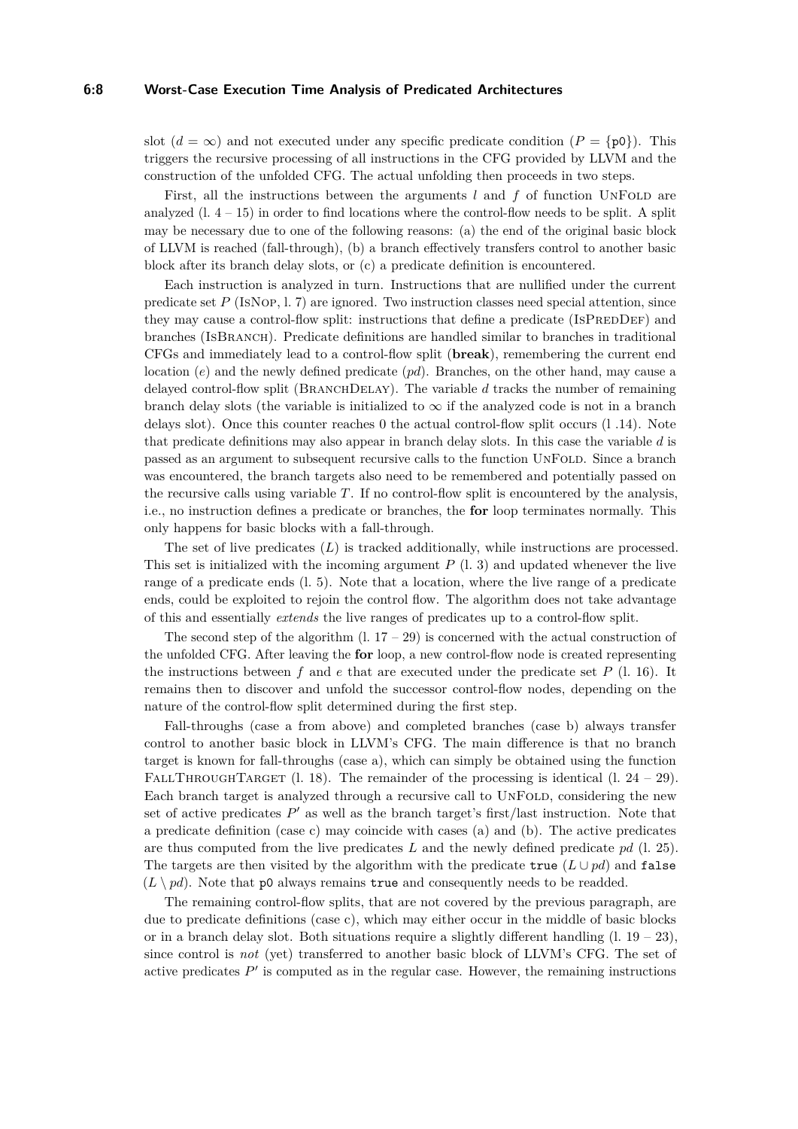### **6:8 Worst-Case Execution Time Analysis of Predicated Architectures**

slot  $(d = \infty)$  and not executed under any specific predicate condition  $(P = \{p0\})$ . This triggers the recursive processing of all instructions in the CFG provided by LLVM and the construction of the unfolded CFG. The actual unfolding then proceeds in two steps.

First, all the instructions between the arguments *l* and *f* of function UNFOLD are analyzed  $(1. 4 - 15)$  $(1. 4 - 15)$  $(1. 4 - 15)$  $(1. 4 - 15)$  in order to find locations where the control-flow needs to be split. A split may be necessary due to one of the following reasons: (a) the end of the original basic block of LLVM is reached (fall-through), (b) a branch effectively transfers control to another basic block after its branch delay slots, or (c) a predicate definition is encountered.

Each instruction is analyzed in turn. Instructions that are nullified under the current predicate set *P* (IsNop, l. [7\)](#page-5-1) are ignored. Two instruction classes need special attention, since they may cause a control-flow split: instructions that define a predicate  $(ISPREDDEF)$  and branches (IsBranch). Predicate definitions are handled similar to branches in traditional CFGs and immediately lead to a control-flow split (**break**), remembering the current end location (*e*) and the newly defined predicate (*pd*). Branches, on the other hand, may cause a delayed control-flow split (BRANCHDELAY). The variable *d* tracks the number of remaining branch delay slots (the variable is initialized to  $\infty$  if the analyzed code is not in a branch delays slot). Once this counter reaches 0 the actual control-flow split occurs (l [.14\)](#page-5-1). Note that predicate definitions may also appear in branch delay slots. In this case the variable *d* is passed as an argument to subsequent recursive calls to the function UnFold. Since a branch was encountered, the branch targets also need to be remembered and potentially passed on the recursive calls using variable *T*. If no control-flow split is encountered by the analysis, i.e., no instruction defines a predicate or branches, the **for** loop terminates normally. This only happens for basic blocks with a fall-through.

The set of live predicates (*L*) is tracked additionally, while instructions are processed. This set is initialized with the incoming argument *P* (l. [3\)](#page-5-1) and updated whenever the live range of a predicate ends (l. [5\)](#page-5-1). Note that a location, where the live range of a predicate ends, could be exploited to rejoin the control flow. The algorithm does not take advantage of this and essentially *extends* the live ranges of predicates up to a control-flow split.

The second step of the algorithm  $(1. 17 - 29)$  $(1. 17 - 29)$  $(1. 17 - 29)$  $(1. 17 - 29)$  is concerned with the actual construction of the unfolded CFG. After leaving the **for** loop, a new control-flow node is created representing the instructions between  $f$  and  $e$  that are executed under the predicate set  $P$  (1. [16\)](#page-5-1). It remains then to discover and unfold the successor control-flow nodes, depending on the nature of the control-flow split determined during the first step.

Fall-throughs (case a from above) and completed branches (case b) always transfer control to another basic block in LLVM's CFG. The main difference is that no branch target is known for fall-throughs (case a), which can simply be obtained using the function FALLTHROUGHTARGET (l. [18\)](#page-5-1). The remainder of the processing is identical (l.  $24 - 29$ ). Each branch target is analyzed through a recursive call to UNFOLD, considering the new set of active predicates  $P'$  as well as the branch target's first/last instruction. Note that a predicate definition (case c) may coincide with cases (a) and (b). The active predicates are thus computed from the live predicates *L* and the newly defined predicate *pd* (l. [25\)](#page-5-1). The targets are then visited by the algorithm with the predicate true  $(L \cup pd)$  and false  $(L \nmid pd)$ . Note that p0 always remains true and consequently needs to be readded.

The remaining control-flow splits, that are not covered by the previous paragraph, are due to predicate definitions (case c), which may either occur in the middle of basic blocks or in a branch delay slot. Both situations require a slightly different handling  $(1. 19 - 23)$  $(1. 19 - 23)$  $(1. 19 - 23)$  $(1. 19 - 23)$ , since control is *not* (yet) transferred to another basic block of LLVM's CFG. The set of active predicates  $P'$  is computed as in the regular case. However, the remaining instructions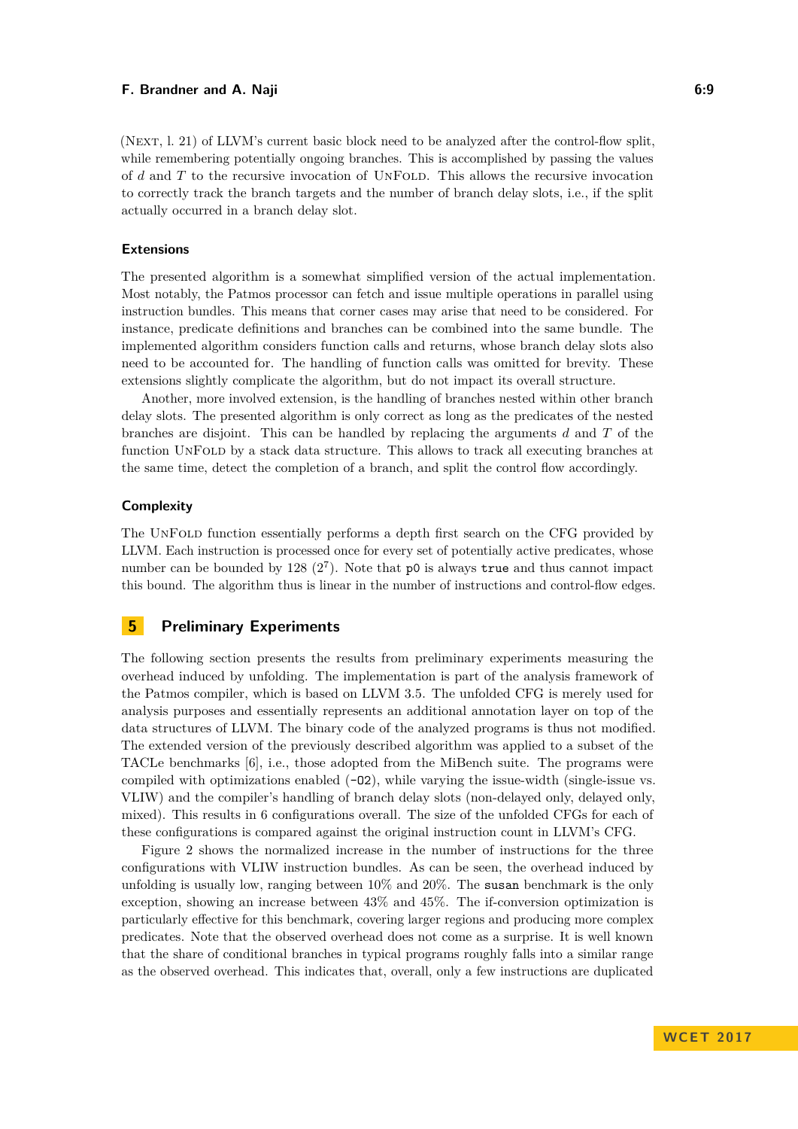### **F. Brandner and A. Naji 6:9**

(Next, l. [21\)](#page-5-1) of LLVM's current basic block need to be analyzed after the control-flow split, while remembering potentially ongoing branches. This is accomplished by passing the values of *d* and *T* to the recursive invocation of UnFold. This allows the recursive invocation to correctly track the branch targets and the number of branch delay slots, i.e., if the split actually occurred in a branch delay slot.

### **Extensions**

The presented algorithm is a somewhat simplified version of the actual implementation. Most notably, the Patmos processor can fetch and issue multiple operations in parallel using instruction bundles. This means that corner cases may arise that need to be considered. For instance, predicate definitions and branches can be combined into the same bundle. The implemented algorithm considers function calls and returns, whose branch delay slots also need to be accounted for. The handling of function calls was omitted for brevity. These extensions slightly complicate the algorithm, but do not impact its overall structure.

Another, more involved extension, is the handling of branches nested within other branch delay slots. The presented algorithm is only correct as long as the predicates of the nested branches are disjoint. This can be handled by replacing the arguments *d* and *T* of the function UnFold by a stack data structure. This allows to track all executing branches at the same time, detect the completion of a branch, and split the control flow accordingly.

### **Complexity**

The UnFold function essentially performs a depth first search on the CFG provided by LLVM. Each instruction is processed once for every set of potentially active predicates, whose number can be bounded by  $128 (2^7)$ . Note that p0 is always true and thus cannot impact this bound. The algorithm thus is linear in the number of instructions and control-flow edges.

# <span id="page-8-0"></span>**5 Preliminary Experiments**

The following section presents the results from preliminary experiments measuring the overhead induced by unfolding. The implementation is part of the analysis framework of the Patmos compiler, which is based on LLVM 3.5. The unfolded CFG is merely used for analysis purposes and essentially represents an additional annotation layer on top of the data structures of LLVM. The binary code of the analyzed programs is thus not modified. The extended version of the previously described algorithm was applied to a subset of the TACLe benchmarks [\[6\]](#page-10-4), i.e., those adopted from the MiBench suite. The programs were compiled with optimizations enabled  $(-02)$ , while varying the issue-width (single-issue vs. VLIW) and the compiler's handling of branch delay slots (non-delayed only, delayed only, mixed). This results in 6 configurations overall. The size of the unfolded CFGs for each of these configurations is compared against the original instruction count in LLVM's CFG.

Figure [2](#page-9-1) shows the normalized increase in the number of instructions for the three configurations with VLIW instruction bundles. As can be seen, the overhead induced by unfolding is usually low, ranging between 10% and 20%. The susan benchmark is the only exception, showing an increase between 43% and 45%. The if-conversion optimization is particularly effective for this benchmark, covering larger regions and producing more complex predicates. Note that the observed overhead does not come as a surprise. It is well known that the share of conditional branches in typical programs roughly falls into a similar range as the observed overhead. This indicates that, overall, only a few instructions are duplicated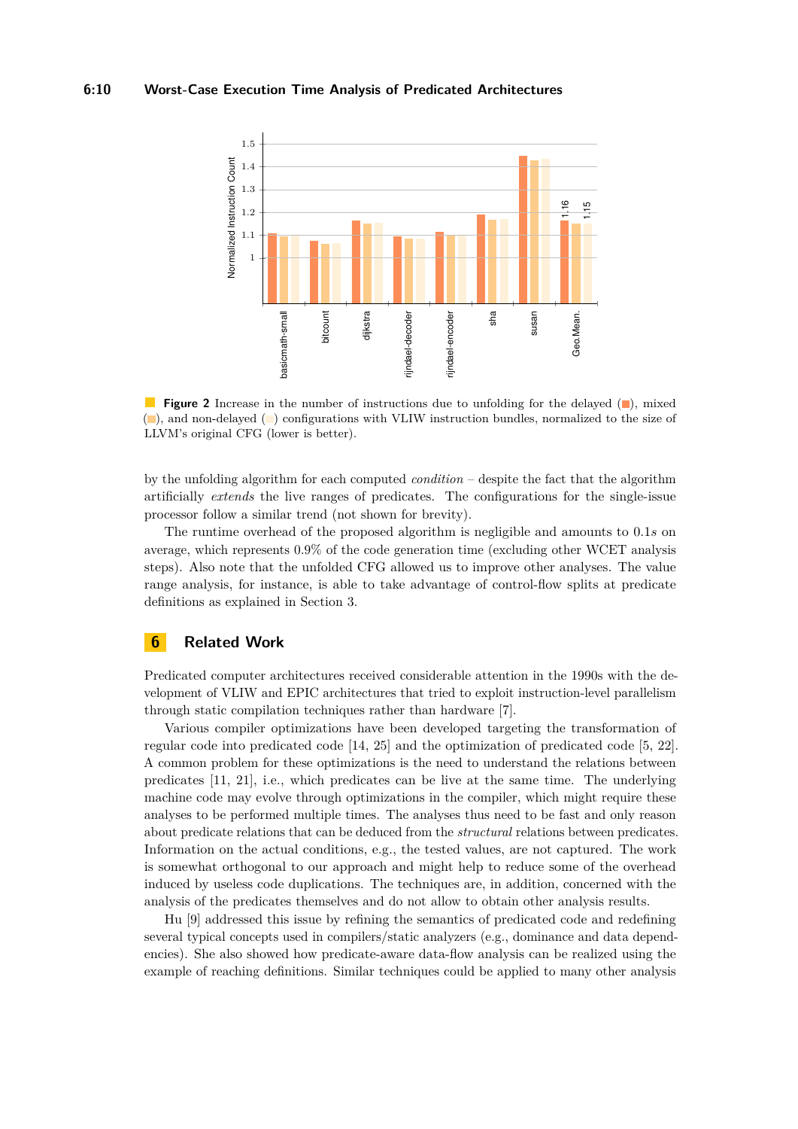### **6:10 Worst-Case Execution Time Analysis of Predicated Architectures**

<span id="page-9-1"></span>

**Figure 2** Increase in the number of instructions due to unfolding for the delayed (**)**, mixed ( ), and non-delayed ( ) configurations with VLIW instruction bundles, normalized to the size of LLVM's original CFG (lower is better).

by the unfolding algorithm for each computed *condition* – despite the fact that the algorithm artificially *extends* the live ranges of predicates. The configurations for the single-issue processor follow a similar trend (not shown for brevity).

The runtime overhead of the proposed algorithm is negligible and amounts to 0*.*1*s* on average, which represents 0*.*9% of the code generation time (excluding other WCET analysis steps). Also note that the unfolded CFG allowed us to improve other analyses. The value range analysis, for instance, is able to take advantage of control-flow splits at predicate definitions as explained in Section [3.](#page-3-1)

# <span id="page-9-0"></span>**6 Related Work**

Predicated computer architectures received considerable attention in the 1990s with the development of VLIW and EPIC architectures that tried to exploit instruction-level parallelism through static compilation techniques rather than hardware [\[7\]](#page-11-6).

Various compiler optimizations have been developed targeting the transformation of regular code into predicated code [\[14,](#page-11-11) [25\]](#page-12-3) and the optimization of predicated code [\[5,](#page-10-5) [22\]](#page-11-12). A common problem for these optimizations is the need to understand the relations between predicates [\[11,](#page-11-13) [21\]](#page-11-14), i.e., which predicates can be live at the same time. The underlying machine code may evolve through optimizations in the compiler, which might require these analyses to be performed multiple times. The analyses thus need to be fast and only reason about predicate relations that can be deduced from the *structural* relations between predicates. Information on the actual conditions, e.g., the tested values, are not captured. The work is somewhat orthogonal to our approach and might help to reduce some of the overhead induced by useless code duplications. The techniques are, in addition, concerned with the analysis of the predicates themselves and do not allow to obtain other analysis results.

Hu [\[9\]](#page-11-15) addressed this issue by refining the semantics of predicated code and redefining several typical concepts used in compilers/static analyzers (e.g., dominance and data dependencies). She also showed how predicate-aware data-flow analysis can be realized using the example of reaching definitions. Similar techniques could be applied to many other analysis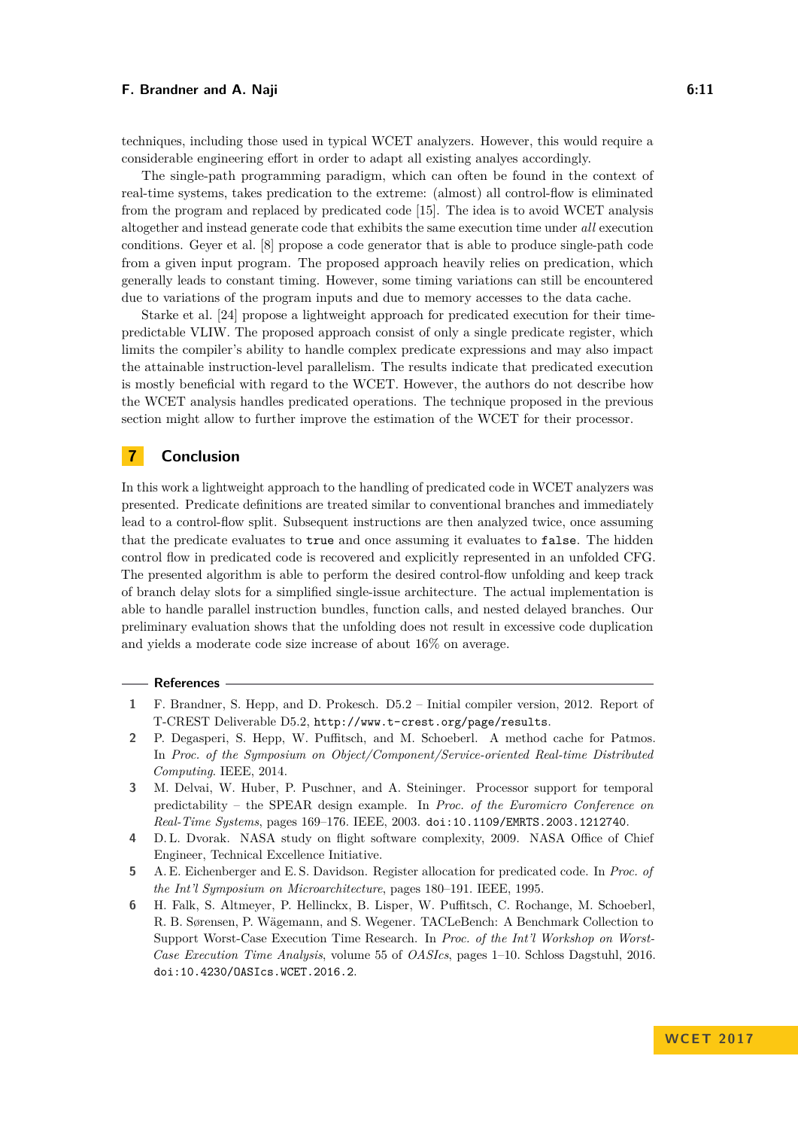### **F. Brandner and A. Naji 6:11** 6:11

techniques, including those used in typical WCET analyzers. However, this would require a considerable engineering effort in order to adapt all existing analyes accordingly.

The single-path programming paradigm, which can often be found in the context of real-time systems, takes predication to the extreme: (almost) all control-flow is eliminated from the program and replaced by predicated code [\[15\]](#page-11-7). The idea is to avoid WCET analysis altogether and instead generate code that exhibits the same execution time under *all* execution conditions. Geyer et al. [\[8\]](#page-11-9) propose a code generator that is able to produce single-path code from a given input program. The proposed approach heavily relies on predication, which generally leads to constant timing. However, some timing variations can still be encountered due to variations of the program inputs and due to memory accesses to the data cache.

Starke et al. [\[24\]](#page-12-2) propose a lightweight approach for predicated execution for their timepredictable VLIW. The proposed approach consist of only a single predicate register, which limits the compiler's ability to handle complex predicate expressions and may also impact the attainable instruction-level parallelism. The results indicate that predicated execution is mostly beneficial with regard to the WCET. However, the authors do not describe how the WCET analysis handles predicated operations. The technique proposed in the previous section might allow to further improve the estimation of the WCET for their processor.

# **7 Conclusion**

In this work a lightweight approach to the handling of predicated code in WCET analyzers was presented. Predicate definitions are treated similar to conventional branches and immediately lead to a control-flow split. Subsequent instructions are then analyzed twice, once assuming that the predicate evaluates to true and once assuming it evaluates to false. The hidden control flow in predicated code is recovered and explicitly represented in an unfolded CFG. The presented algorithm is able to perform the desired control-flow unfolding and keep track of branch delay slots for a simplified single-issue architecture. The actual implementation is able to handle parallel instruction bundles, function calls, and nested delayed branches. Our preliminary evaluation shows that the unfolding does not result in excessive code duplication and yields a moderate code size increase of about 16% on average.

#### **References**

- <span id="page-10-3"></span>**1** F. Brandner, S. Hepp, and D. Prokesch. D5.2 – Initial compiler version, 2012. Report of T-CREST Deliverable D5.2, <http://www.t-crest.org/page/results>.
- <span id="page-10-1"></span>**2** P. Degasperi, S. Hepp, W. Puffitsch, and M. Schoeberl. A method cache for Patmos. In *Proc. of the Symposium on Object/Component/Service-oriented Real-time Distributed Computing*. IEEE, 2014.
- <span id="page-10-2"></span>**3** M. Delvai, W. Huber, P. Puschner, and A. Steininger. Processor support for temporal predictability – the SPEAR design example. In *Proc. of the Euromicro Conference on Real-Time Systems*, pages 169–176. IEEE, 2003. [doi:10.1109/EMRTS.2003.1212740](http://dx.doi.org/10.1109/EMRTS.2003.1212740).
- <span id="page-10-0"></span>**4** D. L. Dvorak. NASA study on flight software complexity, 2009. NASA Office of Chief Engineer, Technical Excellence Initiative.
- <span id="page-10-5"></span>**5** A. E. Eichenberger and E. S. Davidson. Register allocation for predicated code. In *Proc. of the Int'l Symposium on Microarchitecture*, pages 180–191. IEEE, 1995.
- <span id="page-10-4"></span>**6** H. Falk, S. Altmeyer, P. Hellinckx, B. Lisper, W. Puffitsch, C. Rochange, M. Schoeberl, R. B. Sørensen, P. Wägemann, and S. Wegener. TACLeBench: A Benchmark Collection to Support Worst-Case Execution Time Research. In *Proc. of the Int'l Workshop on Worst-Case Execution Time Analysis*, volume 55 of *OASIcs*, pages 1–10. Schloss Dagstuhl, 2016. [doi:10.4230/OASIcs.WCET.2016.2](http://dx.doi.org/10.4230/OASIcs.WCET.2016.2).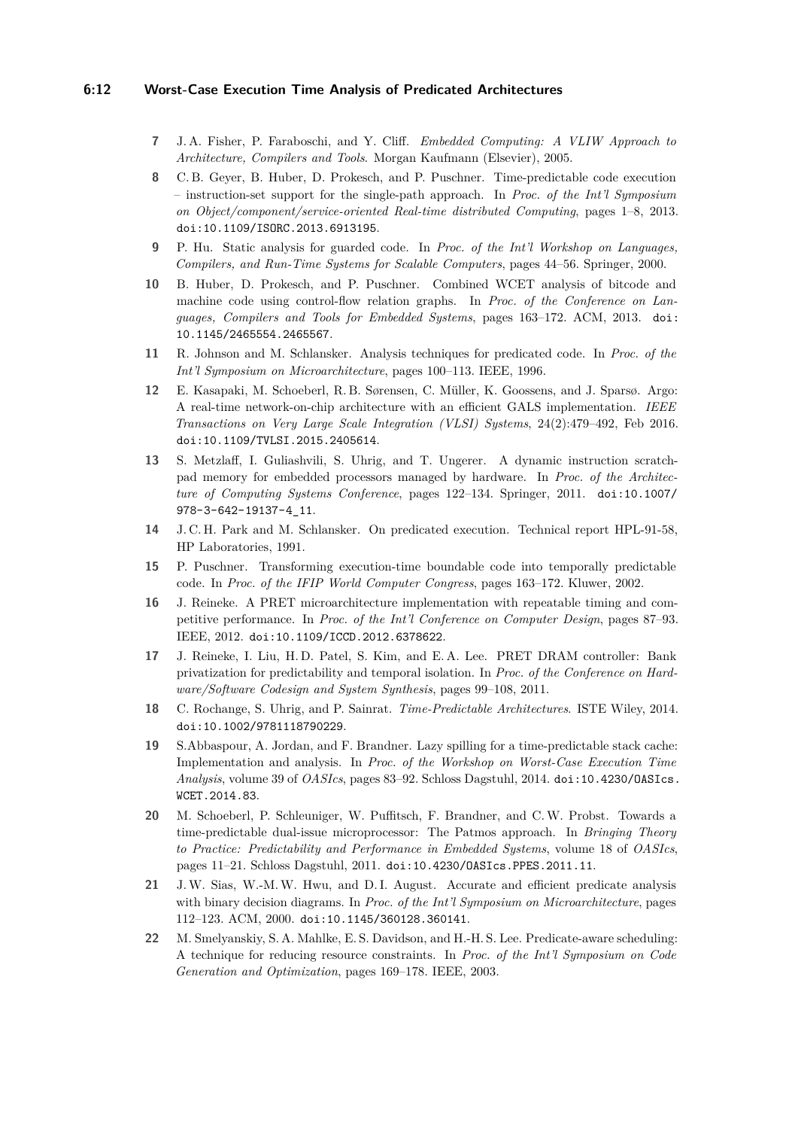### **6:12 Worst-Case Execution Time Analysis of Predicated Architectures**

- <span id="page-11-6"></span>**7** J. A. Fisher, P. Faraboschi, and Y. Cliff. *Embedded Computing: A VLIW Approach to Architecture, Compilers and Tools*. Morgan Kaufmann (Elsevier), 2005.
- <span id="page-11-9"></span>**8** C. B. Geyer, B. Huber, D. Prokesch, and P. Puschner. Time-predictable code execution – instruction-set support for the single-path approach. In *Proc. of the Int'l Symposium on Object/component/service-oriented Real-time distributed Computing*, pages 1–8, 2013. [doi:10.1109/ISORC.2013.6913195](http://dx.doi.org/10.1109/ISORC.2013.6913195).
- <span id="page-11-15"></span>**9** P. Hu. Static analysis for guarded code. In *Proc. of the Int'l Workshop on Languages, Compilers, and Run-Time Systems for Scalable Computers*, pages 44–56. Springer, 2000.
- <span id="page-11-10"></span>**10** B. Huber, D. Prokesch, and P. Puschner. Combined WCET analysis of bitcode and machine code using control-flow relation graphs. In *Proc. of the Conference on Languages, Compilers and Tools for Embedded Systems*, pages 163–172. ACM, 2013. [doi:](http://dx.doi.org/10.1145/2465554.2465567) [10.1145/2465554.2465567](http://dx.doi.org/10.1145/2465554.2465567).
- <span id="page-11-13"></span>**11** R. Johnson and M. Schlansker. Analysis techniques for predicated code. In *Proc. of the Int'l Symposium on Microarchitecture*, pages 100–113. IEEE, 1996.
- <span id="page-11-8"></span>**12** E. Kasapaki, M. Schoeberl, R. B. Sørensen, C. Müller, K. Goossens, and J. Sparsø. Argo: A real-time network-on-chip architecture with an efficient GALS implementation. *IEEE Transactions on Very Large Scale Integration (VLSI) Systems*, 24(2):479–492, Feb 2016. [doi:10.1109/TVLSI.2015.2405614](http://dx.doi.org/10.1109/TVLSI.2015.2405614).
- <span id="page-11-4"></span>**13** S. Metzlaff, I. Guliashvili, S. Uhrig, and T. Ungerer. A dynamic instruction scratchpad memory for embedded processors managed by hardware. In *Proc. of the Architecture of Computing Systems Conference*, pages 122–134. Springer, 2011. [doi:10.1007/](http://dx.doi.org/10.1007/978-3-642-19137-4_11) [978-3-642-19137-4\\_11](http://dx.doi.org/10.1007/978-3-642-19137-4_11).
- <span id="page-11-11"></span>**14** J. C. H. Park and M. Schlansker. On predicated execution. Technical report HPL-91-58, HP Laboratories, 1991.
- <span id="page-11-7"></span>**15** P. Puschner. Transforming execution-time boundable code into temporally predictable code. In *Proc. of the IFIP World Computer Congress*, pages 163–172. Kluwer, 2002.
- <span id="page-11-1"></span>**16** J. Reineke. A PRET microarchitecture implementation with repeatable timing and competitive performance. In *Proc. of the Int'l Conference on Computer Design*, pages 87–93. IEEE, 2012. [doi:10.1109/ICCD.2012.6378622](http://dx.doi.org/10.1109/ICCD.2012.6378622).
- <span id="page-11-3"></span>**17** J. Reineke, I. Liu, H. D. Patel, S. Kim, and E. A. Lee. PRET DRAM controller: Bank privatization for predictability and temporal isolation. In *Proc. of the Conference on Hardware/Software Codesign and System Synthesis*, pages 99–108, 2011.
- <span id="page-11-2"></span>**18** C. Rochange, S. Uhrig, and P. Sainrat. *Time-Predictable Architectures*. ISTE Wiley, 2014. [doi:10.1002/9781118790229](http://dx.doi.org/10.1002/9781118790229).
- <span id="page-11-5"></span>**19** S.Abbaspour, A. Jordan, and F. Brandner. Lazy spilling for a time-predictable stack cache: Implementation and analysis. In *Proc. of the Workshop on Worst-Case Execution Time Analysis*, volume 39 of *OASIcs*, pages 83–92. Schloss Dagstuhl, 2014. [doi:10.4230/OASIcs.](http://dx.doi.org/10.4230/OASIcs.WCET.2014.83) [WCET.2014.83](http://dx.doi.org/10.4230/OASIcs.WCET.2014.83).
- <span id="page-11-0"></span>**20** M. Schoeberl, P. Schleuniger, W. Puffitsch, F. Brandner, and C.W. Probst. Towards a time-predictable dual-issue microprocessor: The Patmos approach. In *Bringing Theory to Practice: Predictability and Performance in Embedded Systems*, volume 18 of *OASIcs*, pages 11–21. Schloss Dagstuhl, 2011. [doi:10.4230/OASIcs.PPES.2011.11](http://dx.doi.org/10.4230/OASIcs.PPES.2011.11).
- <span id="page-11-14"></span>**21** J.W. Sias, W.-M.W. Hwu, and D. I. August. Accurate and efficient predicate analysis with binary decision diagrams. In *Proc. of the Int'l Symposium on Microarchitecture*, pages 112–123. ACM, 2000. [doi:10.1145/360128.360141](http://dx.doi.org/10.1145/360128.360141).
- <span id="page-11-12"></span>**22** M. Smelyanskiy, S. A. Mahlke, E. S. Davidson, and H.-H. S. Lee. Predicate-aware scheduling: A technique for reducing resource constraints. In *Proc. of the Int'l Symposium on Code Generation and Optimization*, pages 169–178. IEEE, 2003.